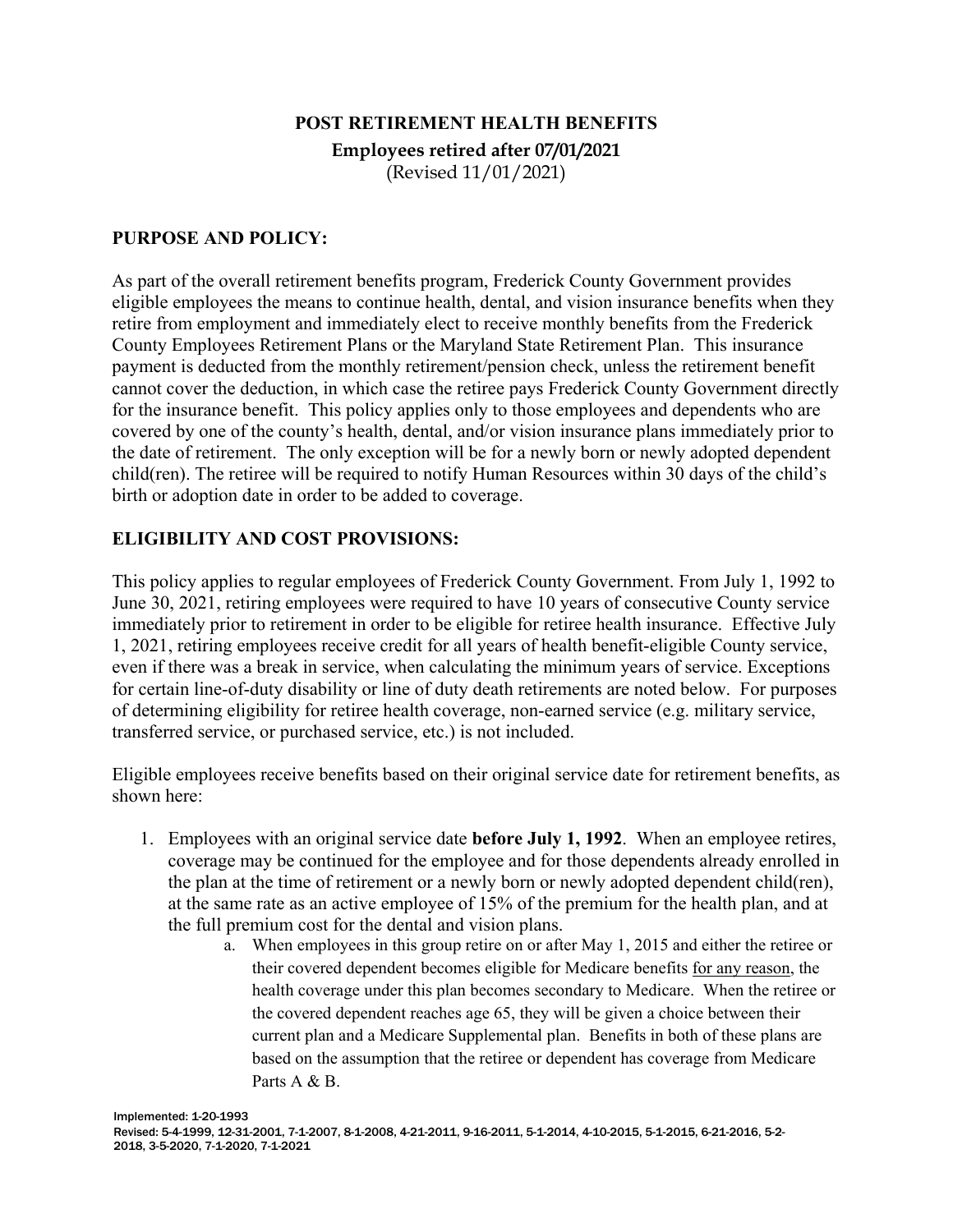# **POST RETIREMENT HEALTH BENEFITS Employees retired after 07/01/2021** (Revised 11/01/2021)

#### **PURPOSE AND POLICY:**

As part of the overall retirement benefits program, Frederick County Government provides eligible employees the means to continue health, dental, and vision insurance benefits when they retire from employment and immediately elect to receive monthly benefits from the Frederick County Employees Retirement Plans or the Maryland State Retirement Plan. This insurance payment is deducted from the monthly retirement/pension check, unless the retirement benefit cannot cover the deduction, in which case the retiree pays Frederick County Government directly for the insurance benefit. This policy applies only to those employees and dependents who are covered by one of the county's health, dental, and/or vision insurance plans immediately prior to the date of retirement. The only exception will be for a newly born or newly adopted dependent child(ren). The retiree will be required to notify Human Resources within 30 days of the child's birth or adoption date in order to be added to coverage.

#### **ELIGIBILITY AND COST PROVISIONS:**

This policy applies to regular employees of Frederick County Government. From July 1, 1992 to June 30, 2021, retiring employees were required to have 10 years of consecutive County service immediately prior to retirement in order to be eligible for retiree health insurance. Effective July 1, 2021, retiring employees receive credit for all years of health benefit-eligible County service, even if there was a break in service, when calculating the minimum years of service. Exceptions for certain line-of-duty disability or line of duty death retirements are noted below. For purposes of determining eligibility for retiree health coverage, non-earned service (e.g. military service, transferred service, or purchased service, etc.) is not included.

Eligible employees receive benefits based on their original service date for retirement benefits, as shown here:

- 1. Employees with an original service date **before July 1, 1992**. When an employee retires, coverage may be continued for the employee and for those dependents already enrolled in the plan at the time of retirement or a newly born or newly adopted dependent child(ren), at the same rate as an active employee of 15% of the premium for the health plan, and at the full premium cost for the dental and vision plans.
	- a. When employees in this group retire on or after May 1, 2015 and either the retiree or their covered dependent becomes eligible for Medicare benefits for any reason, the health coverage under this plan becomes secondary to Medicare. When the retiree or the covered dependent reaches age 65, they will be given a choice between their current plan and a Medicare Supplemental plan. Benefits in both of these plans are based on the assumption that the retiree or dependent has coverage from Medicare Parts A & B.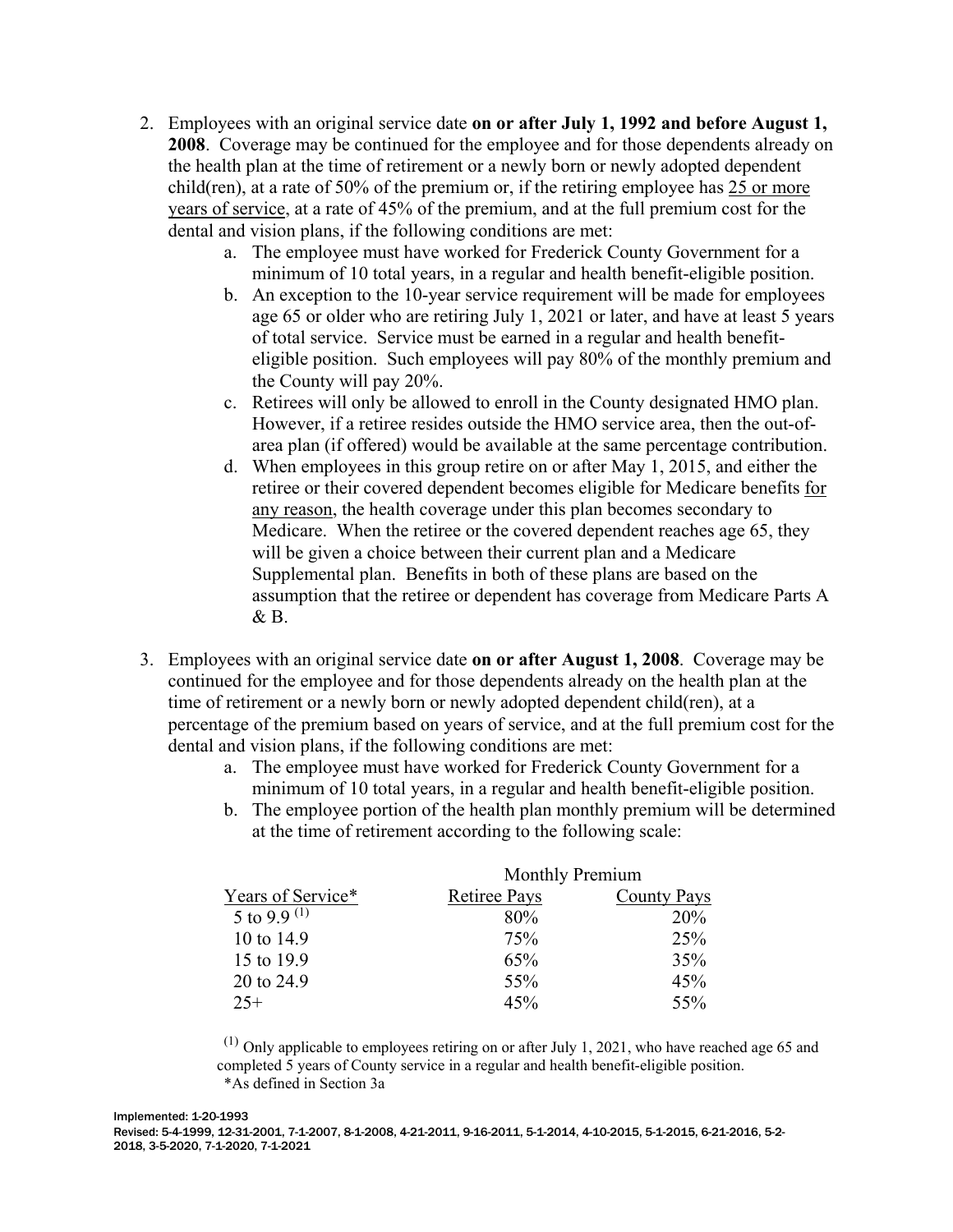- 2. Employees with an original service date **on or after July 1, 1992 and before August 1, 2008**. Coverage may be continued for the employee and for those dependents already on the health plan at the time of retirement or a newly born or newly adopted dependent child(ren), at a rate of 50% of the premium or, if the retiring employee has 25 or more years of service, at a rate of 45% of the premium, and at the full premium cost for the dental and vision plans, if the following conditions are met:
	- a. The employee must have worked for Frederick County Government for a minimum of 10 total years, in a regular and health benefit-eligible position.
	- b. An exception to the 10-year service requirement will be made for employees age 65 or older who are retiring July 1, 2021 or later, and have at least 5 years of total service. Service must be earned in a regular and health benefiteligible position. Such employees will pay 80% of the monthly premium and the County will pay 20%.
	- c. Retirees will only be allowed to enroll in the County designated HMO plan. However, if a retiree resides outside the HMO service area, then the out-ofarea plan (if offered) would be available at the same percentage contribution.
	- d. When employees in this group retire on or after May 1, 2015, and either the retiree or their covered dependent becomes eligible for Medicare benefits for any reason, the health coverage under this plan becomes secondary to Medicare. When the retiree or the covered dependent reaches age 65, they will be given a choice between their current plan and a Medicare Supplemental plan. Benefits in both of these plans are based on the assumption that the retiree or dependent has coverage from Medicare Parts A & B.
- 3. Employees with an original service date **on or after August 1, 2008**. Coverage may be continued for the employee and for those dependents already on the health plan at the time of retirement or a newly born or newly adopted dependent child(ren), at a percentage of the premium based on years of service, and at the full premium cost for the dental and vision plans, if the following conditions are met:
	- a. The employee must have worked for Frederick County Government for a minimum of 10 total years, in a regular and health benefit-eligible position.
	- b. The employee portion of the health plan monthly premium will be determined at the time of retirement according to the following scale:

| Years of Service* | <b>Monthly Premium</b> |                    |
|-------------------|------------------------|--------------------|
|                   | <b>Retiree Pays</b>    | <b>County Pays</b> |
| 5 to 9.9 $(1)$    | 80%                    | 20%                |
| 10 to 14.9        | 75%                    | 25%                |
| 15 to 19.9        | 65%                    | 35%                |
| 20 to 24.9        | 55%                    | 45%                |
| $25+$             | 45%                    | 55%                |

 $(1)$  Only applicable to employees retiring on or after July 1, 2021, who have reached age 65 and completed 5 years of County service in a regular and health benefit-eligible position. \*As defined in Section 3a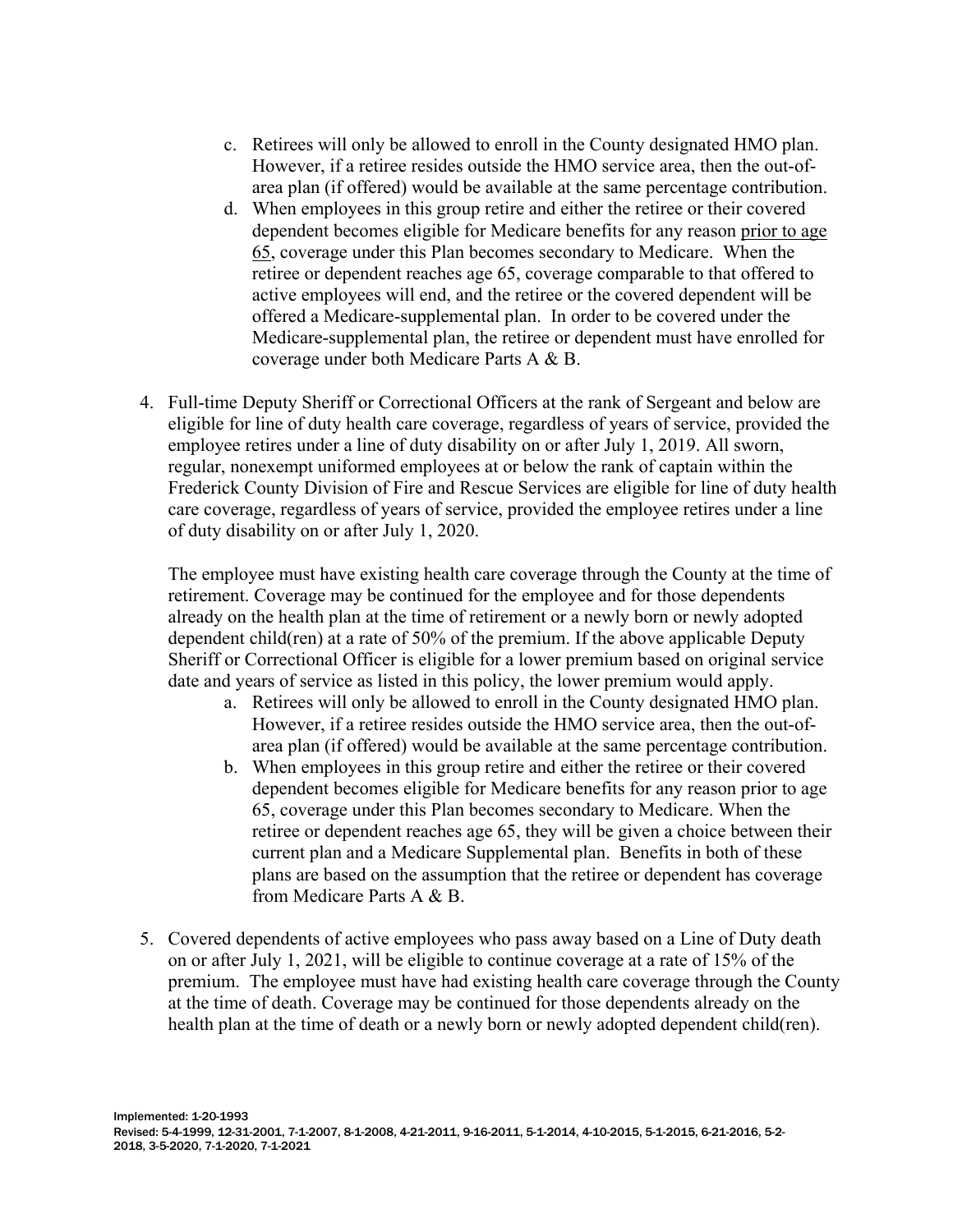- c. Retirees will only be allowed to enroll in the County designated HMO plan. However, if a retiree resides outside the HMO service area, then the out-ofarea plan (if offered) would be available at the same percentage contribution.
- d. When employees in this group retire and either the retiree or their covered dependent becomes eligible for Medicare benefits for any reason prior to age 65, coverage under this Plan becomes secondary to Medicare. When the retiree or dependent reaches age 65, coverage comparable to that offered to active employees will end, and the retiree or the covered dependent will be offered a Medicare-supplemental plan. In order to be covered under the Medicare-supplemental plan, the retiree or dependent must have enrolled for coverage under both Medicare Parts A & B.
- 4. Full-time Deputy Sheriff or Correctional Officers at the rank of Sergeant and below are eligible for line of duty health care coverage, regardless of years of service, provided the employee retires under a line of duty disability on or after July 1, 2019. All sworn, regular, nonexempt uniformed employees at or below the rank of captain within the Frederick County Division of Fire and Rescue Services are eligible for line of duty health care coverage, regardless of years of service, provided the employee retires under a line of duty disability on or after July 1, 2020.

The employee must have existing health care coverage through the County at the time of retirement. Coverage may be continued for the employee and for those dependents already on the health plan at the time of retirement or a newly born or newly adopted dependent child(ren) at a rate of 50% of the premium. If the above applicable Deputy Sheriff or Correctional Officer is eligible for a lower premium based on original service date and years of service as listed in this policy, the lower premium would apply.

- a. Retirees will only be allowed to enroll in the County designated HMO plan. However, if a retiree resides outside the HMO service area, then the out-ofarea plan (if offered) would be available at the same percentage contribution.
- b. When employees in this group retire and either the retiree or their covered dependent becomes eligible for Medicare benefits for any reason prior to age 65, coverage under this Plan becomes secondary to Medicare. When the retiree or dependent reaches age 65, they will be given a choice between their current plan and a Medicare Supplemental plan. Benefits in both of these plans are based on the assumption that the retiree or dependent has coverage from Medicare Parts A & B.
- 5. Covered dependents of active employees who pass away based on a Line of Duty death on or after July 1, 2021, will be eligible to continue coverage at a rate of 15% of the premium. The employee must have had existing health care coverage through the County at the time of death. Coverage may be continued for those dependents already on the health plan at the time of death or a newly born or newly adopted dependent child(ren).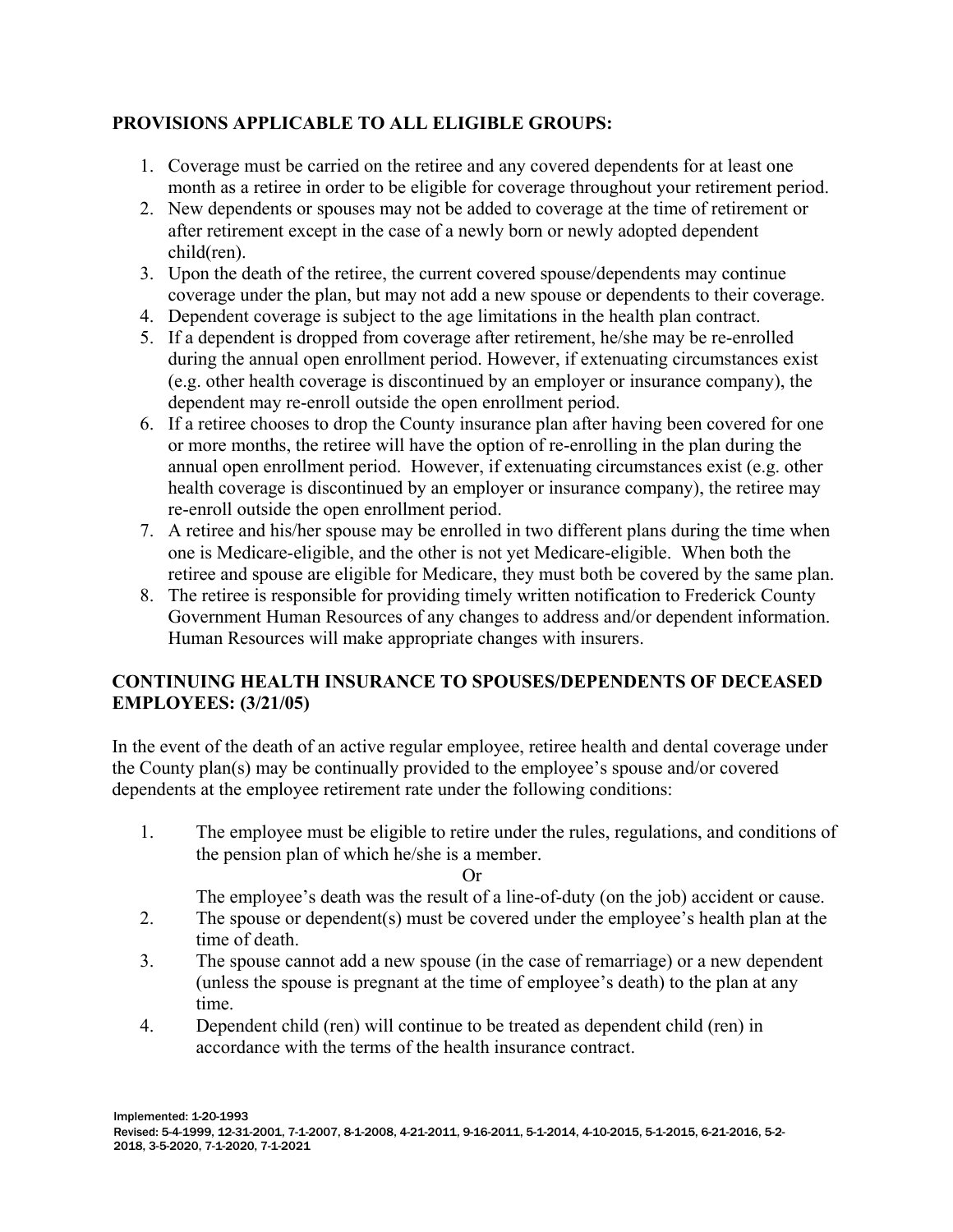# **PROVISIONS APPLICABLE TO ALL ELIGIBLE GROUPS:**

- 1. Coverage must be carried on the retiree and any covered dependents for at least one month as a retiree in order to be eligible for coverage throughout your retirement period.
- 2. New dependents or spouses may not be added to coverage at the time of retirement or after retirement except in the case of a newly born or newly adopted dependent child(ren).
- 3. Upon the death of the retiree, the current covered spouse/dependents may continue coverage under the plan, but may not add a new spouse or dependents to their coverage.
- 4. Dependent coverage is subject to the age limitations in the health plan contract.
- 5. If a dependent is dropped from coverage after retirement, he/she may be re-enrolled during the annual open enrollment period. However, if extenuating circumstances exist (e.g. other health coverage is discontinued by an employer or insurance company), the dependent may re-enroll outside the open enrollment period.
- 6. If a retiree chooses to drop the County insurance plan after having been covered for one or more months, the retiree will have the option of re-enrolling in the plan during the annual open enrollment period. However, if extenuating circumstances exist (e.g. other health coverage is discontinued by an employer or insurance company), the retiree may re-enroll outside the open enrollment period.
- 7. A retiree and his/her spouse may be enrolled in two different plans during the time when one is Medicare-eligible, and the other is not yet Medicare-eligible. When both the retiree and spouse are eligible for Medicare, they must both be covered by the same plan.
- 8. The retiree is responsible for providing timely written notification to Frederick County Government Human Resources of any changes to address and/or dependent information. Human Resources will make appropriate changes with insurers.

## **CONTINUING HEALTH INSURANCE TO SPOUSES/DEPENDENTS OF DECEASED EMPLOYEES: (3/21/05)**

In the event of the death of an active regular employee, retiree health and dental coverage under the County plan(s) may be continually provided to the employee's spouse and/or covered dependents at the employee retirement rate under the following conditions:

1. The employee must be eligible to retire under the rules, regulations, and conditions of the pension plan of which he/she is a member.

**Or** 

The employee's death was the result of a line-of-duty (on the job) accident or cause.

- 2. The spouse or dependent(s) must be covered under the employee's health plan at the time of death.
- 3. The spouse cannot add a new spouse (in the case of remarriage) or a new dependent (unless the spouse is pregnant at the time of employee's death) to the plan at any time.
- 4. Dependent child (ren) will continue to be treated as dependent child (ren) in accordance with the terms of the health insurance contract.